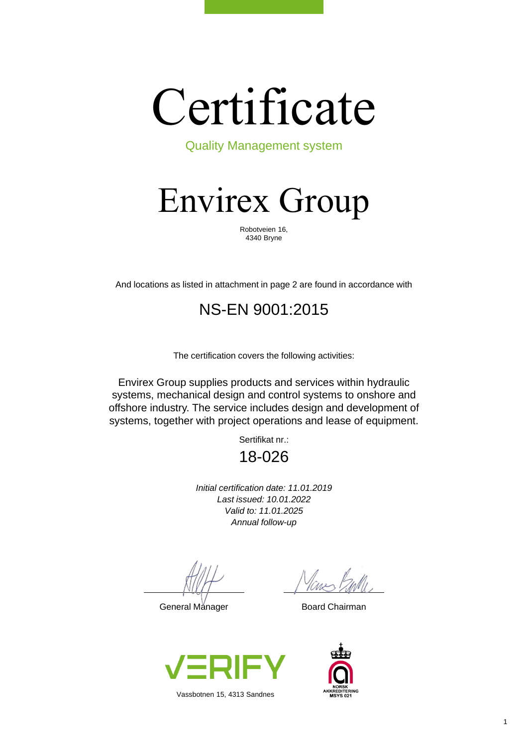# Certificate

Quality Management system

Envirex Group

Robotveien 16, 4340 Bryne

And locations as listed in attachment in page 2 are found in accordance with

## NS-EN 9001:2015

The certification covers the following activities:

Envirex Group supplies products and services within hydraulic systems, mechanical design and control systems to onshore and offshore industry. The service includes design and development of systems, together with project operations and lease of equipment.

Sertifikat nr.:

18-026

*Initial certification date: 11.01.2019 Last issued: 10.01.2022 Valid to: 11.01.2025 Annual follow-up*

General Manager Board Chairman